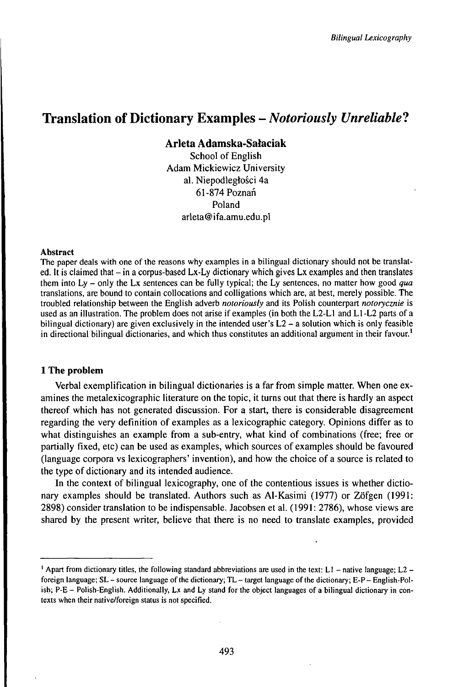# Translation of Dictionary Examples - *Notoriously Unreliable?*

**Arleta Adamska-Sałaciak**

School of English Adam Mickiewicz University al. Niepodległości 4a 61-874Poznan Poland arleta@ifa.amu.edu.pl

### Abstract

The paper deals with one of the reasons why examples in a bilingual dictionary should not be translated. It is claimed that – in a corpus-based Lx-Ly dictionary which gives Lx examples and then translates them into Ly - only the Lx sentences can be fully typical; the Ly sentences, no matter how good *qua* translations, are bound to contain collocations and colligations which are, at best, merely possible. The troubled relationship between the English adverb *notoriously* and its Polish counterpart *notorycznie* is used as an illustration. The problem does not arise if examples (in both the L2-L1 and Ll-L2 parts of a bilingual dictionary) are given exclusively in the intended user's  $L2 - a$  solution which is only feasible in directional bilingual dictionaries, and which thus constitutes an additional argument in their favour.<sup>1</sup>

# **1 The problem**

Verbal exemplification in bilingual dictionaries is a far from simple matter. When one examines the metalexicographic literature on the topic, it turns out that there is hardly an aspect thereof which has not generated discussion. For a start, there is considerable disagreement regarding the very definition of examples as a lexicographic category. Opinions differ as to what distinguishes an example from a sub-entry, what kind of combinations (free; free or partially fixed, etc) can be used as examples, which sources of examples should be favoured (language corpora vs lexicographers' invention), and how the choice of a source is related to the type of dictionary and its intended audience.

In the context of bilingual lexicography, one of the contentious issues is whether dictionary examples should be translated. Authors such as Al-Kasimi (1977) or Zöfgen (1991: 2898) consider translation to be indispensable. Jacobsen et al. (1991: 2786), whose views are shared by the present writer, believe that there is no need to translate examples, provided

 $1$  Apart from dictionary titles, the following standard abbreviations are used in the text: L1 - native language; L2 foreign language; SL - source language of the dictionary; TL - target language of the dictionary; E-P - English-Polish; P-E - Polish-English. Additionally, Lx and Ly stand for the object languages of <sup>a</sup> bilingual dictionary in contexts when their native/foreign status is not specified.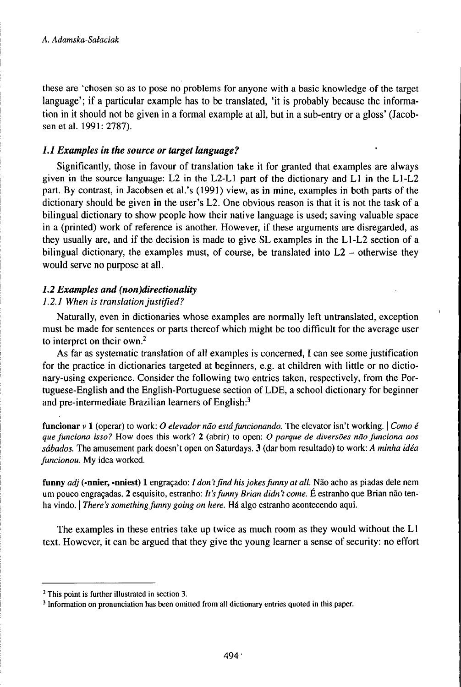these are 'chosen so as to pose no problems for anyone with a basic knowledge of the target language'; if a particular example has to be translated, 'it is probably because the information in it should not be given in a formal example at all, but in a sub-entry or a gloss' (Jacobsen et al. 1991: 2787).

# /./ *Examples in the source or target language?*

Significantly, those in favour of translation take it for granted that examples are always given in the source language: L2 in the L2-L1 part of the dictionary and L1 in the Ll-L2 part. By contrast, in Jacobsen et al.'s (1991) view, as in mine, examples in both parts of the dictionary should be given in the user's L2. One obvious reason is that it is not the task of a bilingual dictionary to show people how their native language is used; saving valuable space in a (printed) work of reference is another. However, if these arguments are disregarded, as they usually are, and if the decision is made to give SL examples in the Ll-L2 section of a bilingual dictionary, the examples must, of course, be translated into  $L2$  – otherwise they would serve no purpose at all.

# *1.2 Examples and (non)directionality*

# *1.2.1 When is translationjustified?*

Naturally, even in dictionaries whose examples are normally left untranslated, exception must be made for sentences or parts thereof which might be too difficult for the average user to interpret on their own.<sup>2</sup>

As far as systematic translation of all examples is concerned, I can see some justification for the practice in dictionaries targeted at beginners, e.g. at children with little or no dictionary-using experience. Consider the following two entries taken, respectively, from the Portuguese-English and the English-Portuguese section of LDE, a school dictionary for beginner and pre-intermediate Brazilian learners of English: $3$ 

funcionar <sup>v</sup> <sup>1</sup> (operar) to work: *0 elevador näo estáfuncionando.* The elevator isn't working. <sup>|</sup> *Como é quefunciona isso?* How does this work? 2 (abrir) to open: *O parque de diversöes näofunciona aos sábados.* The amusement park doesn't open on Saturdays. 3 (dar bom resultado) to work: *A minha idéa funcionou.* My idea worked.

funny *adj* (-nnier, -nniest) 1 engraçado: *I don't find his jokes funny at all.* Não acho as piadas dele nem um pouco engraçadas. 2 esquisito, estranho: *lt'sfunny Brian didn't come.* E estranho que Brian näo tenha vindo. *There's something funny going on here*. Há algo estranho acontecendo aqui.

The examples in these entries take up twice as much room as they would without the L1 text. However, it can be argued that they give the young learner a sense of security: no effort

<sup>2</sup> This point is further illustrated in section 3.

<sup>&</sup>lt;sup>3</sup> Information on pronunciation has been omitted from all dictionary entries quoted in this paper.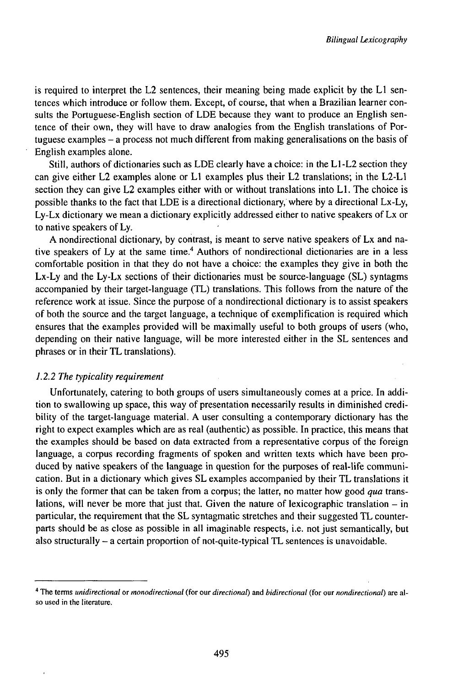is required to interpret the L2 sentences, their meaning being made explicit by the L1 sentences which introduce or follow them. Except, of course, that when a Brazilian learner consults the Portuguese-English section of LDE because they want to produce an English sentence of their own, they will have to draw analogies from the English translations of Portuguese examples - <sup>a</sup> process not much different from making generalisations on the basis of English examples alone.

Still, authors of dictionaries such as LDE clearly have a choice: in the L1-L2 section they can give either L2 examples alone or L1 examples plus their L2 translations; in the L2-L1 section they can give L2 examples either with or without translations into L1. The choice is possible thanks to the fact that LDE is a directional dictionary, where by a directional Lx-Ly, Ly-Lx dictionary we mean a dictionary explicitly addressed either to native speakers of Lx or to native speakers of Ly.

A nondirectional dictionary, by contrast, is meant to serve native speakers of Lx and native speakers of Ly at the same time.<sup>4</sup> Authors of nondirectional dictionaries are in a less comfortable position in that they do not have a choice: the examples they give in both the Lx-Ly and the Ly-Lx sections of their dictionaries must be source-language (SL) syntagms accompanied by their target-language (TL) translations. This follows from the nature of the reference work at issue. Since the purpose of a nondirectional dictionary is to assist speakers of both the source and the target language, a technique of exemplification is required which ensures that the examples provided will be maximally useful to both groups of users (who, depending on their native language, will be more interested either in the SL sentences and phrases or in their TL translations).

### *1.2.2 The typicality requirement*

Unfortunately, catering to both groups of users simultaneously comes at a price. In addition to swallowing up space, this way of presentation necessarily results in diminished credibility of the target-language material. A user consulting a contemporary dictionary has the right to expect examples which are as real (authentic) as possible. In practice, this means that the examples should be based on data extracted from a representative corpus of the foreign language, a corpus recording fragments of spoken and written texts which have been produced by native speakers of the language in question for the purposes of real-life communication. But in a dictionary which gives SL examples accompanied by their TL translations it is only the former that can be taken from a corpus; the latter, no matter how good *qua* translations, will never be more that just that. Given the nature of lexicographic translation  $-$  in particular, the requirement that the SL syntagmatic stretches and their suggested TL counterparts should be as close as possible in all imaginable respects, i.e. not just semantically, but also structurally - <sup>a</sup> certain proportion of not-quite-typical TL sentences is unavoidable.

<sup>4</sup> The terms *unidirectional* or *monodirectional* (for our *directionat)* and *bidirectional* (for our *nondirectionat)* are also used in the literature.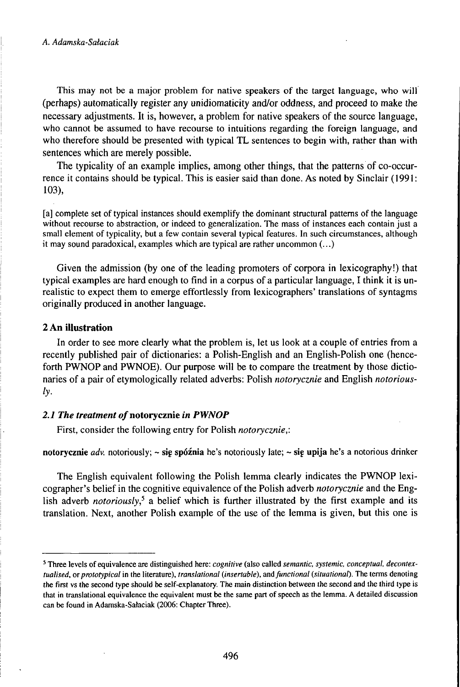This may not be a major problem for native speakers of the target language, who will (perhaps) automatically register any unidiomaticity and/or oddness, and proceed to make the necessary adjustments. It is, however, a problem for native speakers of the source language, who cannot be assumed to have recourse to intuitions regarding the foreign language, and who therefore should be presented with typical TL sentences to begin with, rather than with sentences which are merely possible.

The typicality of an example implies, among other things, that the patterns of co-occurrence it contains should be typical. This is easier said than done. As noted by Sinclair (1991: 103),

[a] complete set of typical instances should exemplify the dominant structural patterns of the language without recourse to abstraction, or indeed to generalization. The mass of instances each contain just a small element of typicality, but a few contain several typical features. In such circumstances, although it may sound paradoxical, examples which are typical are rather uncommon  $(...)$ 

Given the admission (by one of the leading promoters of corpora in lexicography!) that typical examples are hard enough to find in a corpus of a particular language, I think it is unrealistic to expect them to emerge effortlessly from lexicographers' translations of syntagms originally produced in another language.

# **2 An illustration**

In order to see more clearly what the problem is, let us look at a couple of entries from a recently published pair of dictionaries: a Polish-English and an English-Polish one (henceforth PWNOP and PWNOE). Our purpose will be to compare the treatment by those dictionaries of a pair of etymologically related adverbs: Polish *notorycznie* and English *notoriousiy-*

### *2.1 The treatment* **o/notorycznie** *in PWNOP*

First, consider the following entry for Polish *notorycznie,:*

# **notorycznie** *adv.* notoriously; ~ sig **spóźnia** he's notoriously late; ~ **sie upija** he's a notorious drinker

The English equivalent following the Polish lemma clearly indicates the PWNOP lexicographer's belief in the cognitive equivalence of the Polish adverb *notorycznie* and the English adverb *notoriously,<sup>5</sup>* a belief which is further illustrated by the first example and its translation. Next, another Polish example of the use of the lemma is given, but this one is

<sup>5</sup> Three levels of equivalence are distinguished here: *cognitive* (also called *semantic, systemic, conceptual, decontextualised, orprototypical* in the literature), *translational (insertable), andfunctional (situational).* The terms denoting the first vs the second type should be self-explanatory. The main distinction between the second and the third type is that in translational equivalence the equivalent must be the same part of speech as the lemma. A detailed discussion can be found in Adamska-Sataciak (2006: Chapter Three).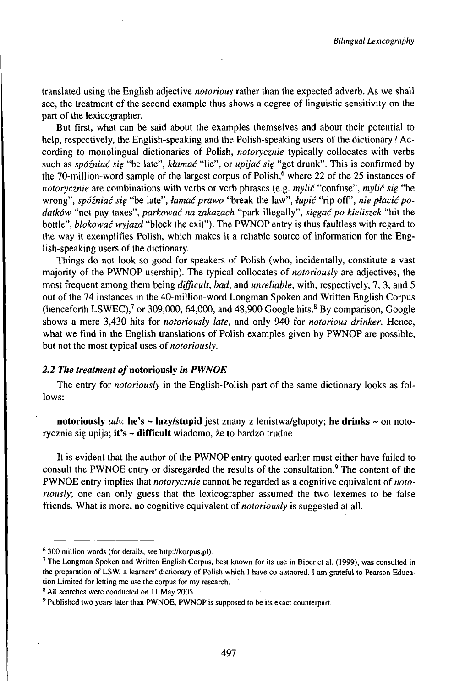translated using the English adjective *notorious* rather than the expected adverb. As we shall see, the treatment of the second example thus shows a degree of linguistic sensitivity on the part of the lexicographer.

But first, what can be said about the examples themselves and about their potential to help, respectively, the English-speaking and the Polish-speaking users of the dictionary? According to monolingual dictionaries of Polish, *notorycznie* typically collocates with verbs such as *spóźniać się* "be late", *kłamać* "lie", or *upijać się* "get drunk". This is confirmed by the 70-million-word sample of the largest corpus of Polish,<sup>6</sup> where 22 of the 25 instances of *notorycznie* are combinations with verbs or verb phrases (e.g. *mylić* "confuse", *mylić się* "be wrong", *spóźniać się* "be late", *łamać prawo* "break the law", *łupić* "rip off, *nie płacić podatków* "not pay taxes", *parkować na zakazach* "park illegally", *sięgać po kieliszek* "hit the bottle", *blokować wyjazd* "block the exit"). The PWNOP entry is thus faultless with regard to the way it exemplifies Polish, which makes it a reliable source of information for the English-speaking users of the dictionary.

Things do not look so good for speakers of Polish (who, incidentally, constitute a vast majority of the PWNOP usership). The typical collocates of *notoriously* are adjectives, the most frequent among them being *difficult, bad,* and *unreliable,* with, respectively, 7, 3, and 5 out of the 74 instances in the 40-million-word Longman Spoken and Written English Corpus (henceforth LSWEC),<sup>7</sup> or 309,000, 64,000, and 48,900 Google hits.<sup>8</sup> By comparison, Google shows a mere 3,430 hits for *notoriously late,* and only 940 for *notorious drinker.* Hence, what we find in the English translations of Polish examples given by PWNOP are possible, but not the most typical uses of *notoriously.*

# *2.2 The treatment of***notoriously** *in PWNOE*

The entry for *notoriously* in the English-Polish part of the same dictionary looks as follows:

**notoriously** *adv.* **he's - lazy/stupid** jest znany z lenistwa/głupoty; **he drinks** <sup>~</sup> on notorycznie siç upija; **it's** - **difficult** wiadomo, że to bardzo trudne

It is evident that the author of the PWNOP entry quoted earlier must either have failed to consult the PWNOE entry or disregarded the results of the consultation.<sup>9</sup> The content of the PWNOE entry implies that *notorycznie* cannot be regarded as a cognitive equivalent of *notoriously;* one can only guess that the lexicographer assumed the two lexemes to be false friends. What is more, no cognitive equivalent of *notoriously* is suggested at all.

<sup>&</sup>lt;sup>6</sup> 300 million words (for details, see http://korpus.pl).

<sup>7</sup> The Longman Spoken and Written English Corpus, best known for its use in Biber et al. (1999), was consulted in the preparation of LSW, a learners' dictionary of Polish which <sup>I</sup> have co-authored. <sup>I</sup> am grateful to Pearson Education Limited for letting me use the corpus for my research.

<sup>8</sup> All searches were conducted on <sup>11</sup> May 2005.

<sup>&</sup>lt;sup>9</sup> Published two years later than PWNOE, PWNOP is supposed to be its exact counterpart.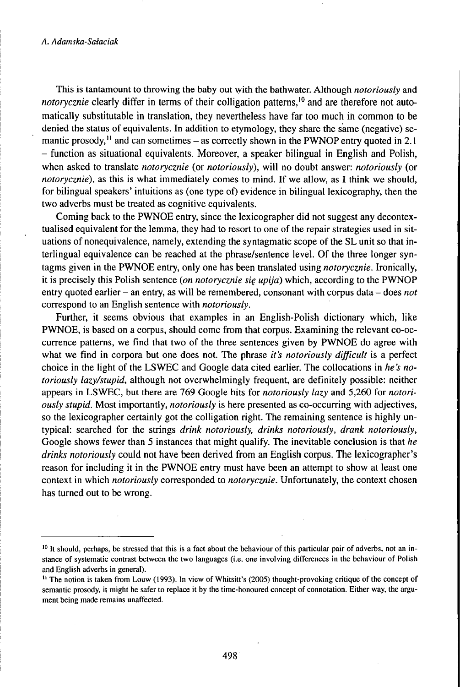#### *A. Adamska-Sałaciak*

This is tantamount to throwing the baby out with the bathwater. Although *notoriously* and *notorycznie* clearly differ in terms of their colligation patterns,<sup>10</sup> and are therefore not automatically substitutable in translation, they nevertheless have far too much ih common to be denied the status of equivalents. In addition to etymology, they share the same (negative) semantic prosody,<sup>11</sup> and can sometimes  $-$  as correctly shown in the PWNOP entry quoted in 2.1 - function as situational equivalents. Moreover, <sup>a</sup> speaker bilingual in English and Polish, when asked to translate *notorycznie* (or *notoriously),* will no doubt answer: *notoriously* (or *notorycznie),* as this is what immediately comes to mind. If we allow, as I think we should, for bilingual speakers' intuitions as (one type of) evidence in bilingual lexicography, then the two adverbs must be treated as cognitive equivalents.

Coming back to the PWNOE entry, since the lexicographer did not suggest any decontextualised equivalent for the lemma, they had to resort to one of the repair strategies used in situations of nonequivalence, namely, extending the syntagmatic scope of the SL unit so that interlingual equivalence can be reached at the phrase/sentence level. Of the three longer syntagms given in the PWNOE entry, only one has been translated using *notorycznie.* Ironically, it is precisely this Polish sentence *(on notorycznie się upija)* which, according to the PWNOP entry quoted earlier - an entry, as will be remembered, consonant with corpus data - does not correspond to an English sentence with *notoriously.*

Further, it seems obvious that examples in an English-Polish dictionary which, like PWNOE, is based on a corpus, should come from that corpus. Examining the relevant co-occurrence patterns, we find that two of the three sentences given by PWNOE do agree with what we find in corpora but one does not. The phrase *it's notoriously difficult* is a perfect choice in the light of the LSWEC and Google data cited earlier. The collocations in *he's notoriously lazy/stupid,* although not overwhelmingly frequent, are definitely possible: neither appears in LSWEC, but there are 769 Google hits for *notoriously lazy* and 5,260 for *notoriously stupid.* Most importantly, *notoriously* is here presented as co-occurring with adjectives, so the lexicographer certainly got the colligation right. The remaining sentence is highly untypical: searched for the strings *drink notoriously, drinks notoriously, drank notoriously,* Google shows fewer than 5 instances that might qualify. The inevitable conclusion is that *he drinks notoriously* could not have been derived from an English corpus. The lexicographer's reason for including it in the PWNOE entry must have been an attempt to show at least one context in which *notoriously* corresponded to *notorycznie.* Unfortunately, the context chosen has turned out to be wrong.

<sup>&</sup>lt;sup>10</sup> It should, perhaps, be stressed that this is a fact about the behaviour of this particular pair of adverbs, not an instance of systematic contrast between the two languages (i.e. one involving differences in the behaviour of Polish and English adverbs in general).

<sup>&</sup>lt;sup>11</sup> The notion is taken from Louw (1993). In view of Whitsitt's (2005) thought-provoking critique of the concept of semantic prosody, it might be safer to replace it by the time-honoured concept of connotation. Either way, the argument being made remains unaffected.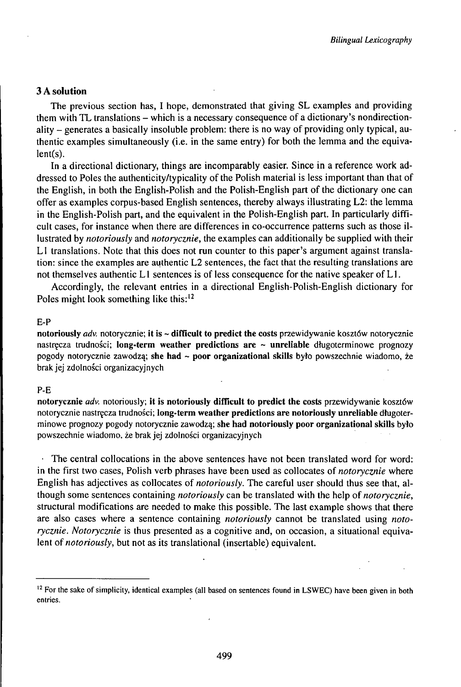# 3 A solution

The previous section has, I hope, demonstrated that giving SL examples and providing them with TL translations - which is <sup>a</sup> necessary consequence of <sup>a</sup> dictionary's nondirectionality  $-$  generates a basically insoluble problem: there is no way of providing only typical, authentic examples simultaneously (i.e. in the same entry) for both the lemma and the equiva $lent(s)$ .

In a directional dictionary, things are incomparably easier. Since in a reference work addressed to Poles the authenticity/typicality of the Polish material is less important than that of the English, in both the English-Polish and the Polish-English part of the dictionary one can offer as examples corpus-based English sentences, thereby always illustrating L2: the lemma in the English-Polish part, and the equivalent in the Polish-English part. In particularly difficult cases, for instance when there are differences in co-occurrence patterns such as those illustrated by *notoriously* and *notorycznie,* the examples can additionally be supplied with their L1 translations. Note that this does not run counter to this paper's argument against translation: since the examples are authentic L2 sentences, the fact that the resulting translations are not themselves authentic L1 sentences is of less consequence for the native speaker of L1.

Accordingly, the relevant entries in a directional English-Polish-English dictionary for Poles might look something like this:<sup>12</sup>

### E-P

notoriously *adv.* notorycznie; it is ~ difficult to predict the costs przewidywanie kosztów notorycznie nastręcza trudności; long-term weather predictions are  $\sim$  unreliable długoterminowe prognozy pogody notorycznie zawodzą; she had <sup>~</sup> poor organizational skills było powszechnie wiadomo, że brakjej zdolności organizacyjnych

### P-E

notorycznie *adv.* notoriously; it is notoriously difficult to predict the costs przewidywanie kosztów notorycznie nastręcza trudności; long-term weather predictions are notoriously unreliable długoterminowe prognozy pogody notorycznie zawodzą; she had notoriously poor organizational skills było powszechnie wiadomo, że brakjej zdolności organizacyjnych

The central collocations in the above sentences have not been translated word for word: in the first two cases, Polish verb phrases have been used as collocates *oinotorycznie* where English has adjectives as collocates of *notoriously.* The careful user should thus see that, although some sentences containing *notoriously* can be translated with the help of *notorycznie,* structural modifications are needed to make this possible. The last example shows that there are also cases where a sentence containing *notoriously* cannot be translated using *notorycznie. Notorycznie* is thus presented as a cognitive and, on occasion, a situational equivalent of *notoriously,* but not as its translational (insertable) equivalent.

<sup>&</sup>lt;sup>12</sup> For the sake of simplicity, identical examples (all based on sentences found in LSWEC) have been given in both entries.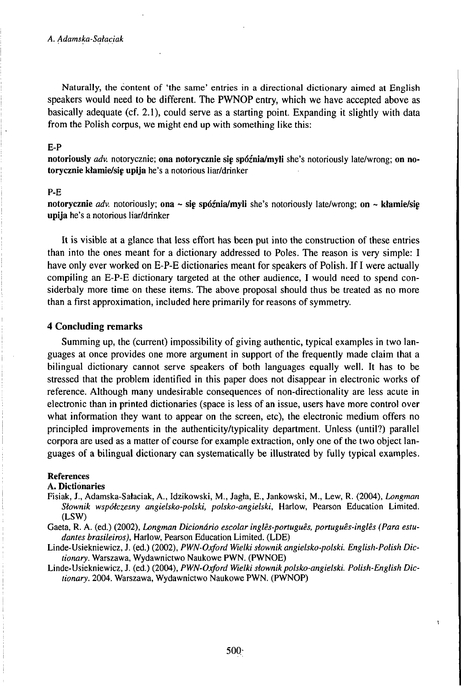Naturally, the content of 'the same' entries in a directional dictionary aimed at English speakers would need to be different. The PWNOP entry, which we have accepted above as basically adequate (cf. 2.1), could serve as a starting point. Expanding it slightly with data from the Polish corpus, we might end up with something like this:

#### E-P

**notoriously** *adv.* notorycznie; **ona notorycznie sig spóźnia/myli** she's notoriously late/wrong; **on notorycznie kłamie/sie upija** he's a notorious liar/drinker

### P-E

**notorycznie** *adv.* notoriously; **ona** ~ **sig spóźnia/myli** she's notoriously late/wrong; **on** ~ **kłamie/sig upija** he's a notorious liar/drinker

It is visible at a glance that less effort has been put into the construction of these entries than into the ones meant for a dictionary addressed to Poles. The reason is very simple: I have only ever worked on E-P-E dictionaries meant for speakers of Polish. If I were actually compiling an E-P-E dictionary targeted at the other audience, I would need to spend considerbaly more time on these items. The above proposal should thus be treated as no more than a first approximation, included here primarily for reasons of symmetry.

### **4 Concluding remarks**

Summing up, the (current) impossibility of giving authentic, typical examples in two languages at once provides one more argument in support of the frequently made claim that a bilingual dictionary cannot serve speakers of both languages equally well. It has to be stressed that the problem identified in this paper does not disappear in electronic works of reference. Although many undesirable consequences of non-directionality are less acute in electronic than in printed dictionaries (space is less of an issue, users have more control over what information they want to appear on the screen, etc), the electronic medium offers no principled improvements in the authenticity/typicality department. Unless (until?) parallel corpora are used as a matter of course for example extraction, only one of the two object languages of a bilingual dictionary can systematically be illustrated by fully typical examples.

#### **References**

#### **A. Dictionaries**

- Fisiak, J., Adamska-Sałaciak, A., Idzikowski, M., Jagła, E., Jankowski, M., Lew, R. (2004), *Longman Słownik współczesny angielsko-polski, polsko-angielski,* Harlow, Pearson Education Limited. (LSW)
- Gaeta, R. A. (ed.) (2002), *Longman Dicionário escolar inglês-português, português-inglês (Para estudantes brasileiros),* Harlow, Pearson Education Limited. (LDE)
- Linde-Usiekniewicz, J. (ed.) (2002), *PWN-Oxford Wielki słownik angielsko-polski. English-Polish Dictionary.* Warszawa, Wydawnictwo Naukowe PWN. (PWNOE)

Linde-Usiekniewicz, J. (ed.) (2004), *PWN-Oxford Wielkisłownikpolsko-angielski. Polish-English Dictionary.* 2004. Warszawa, Wydawnictwo Naukowe PWN. (PWNOP)